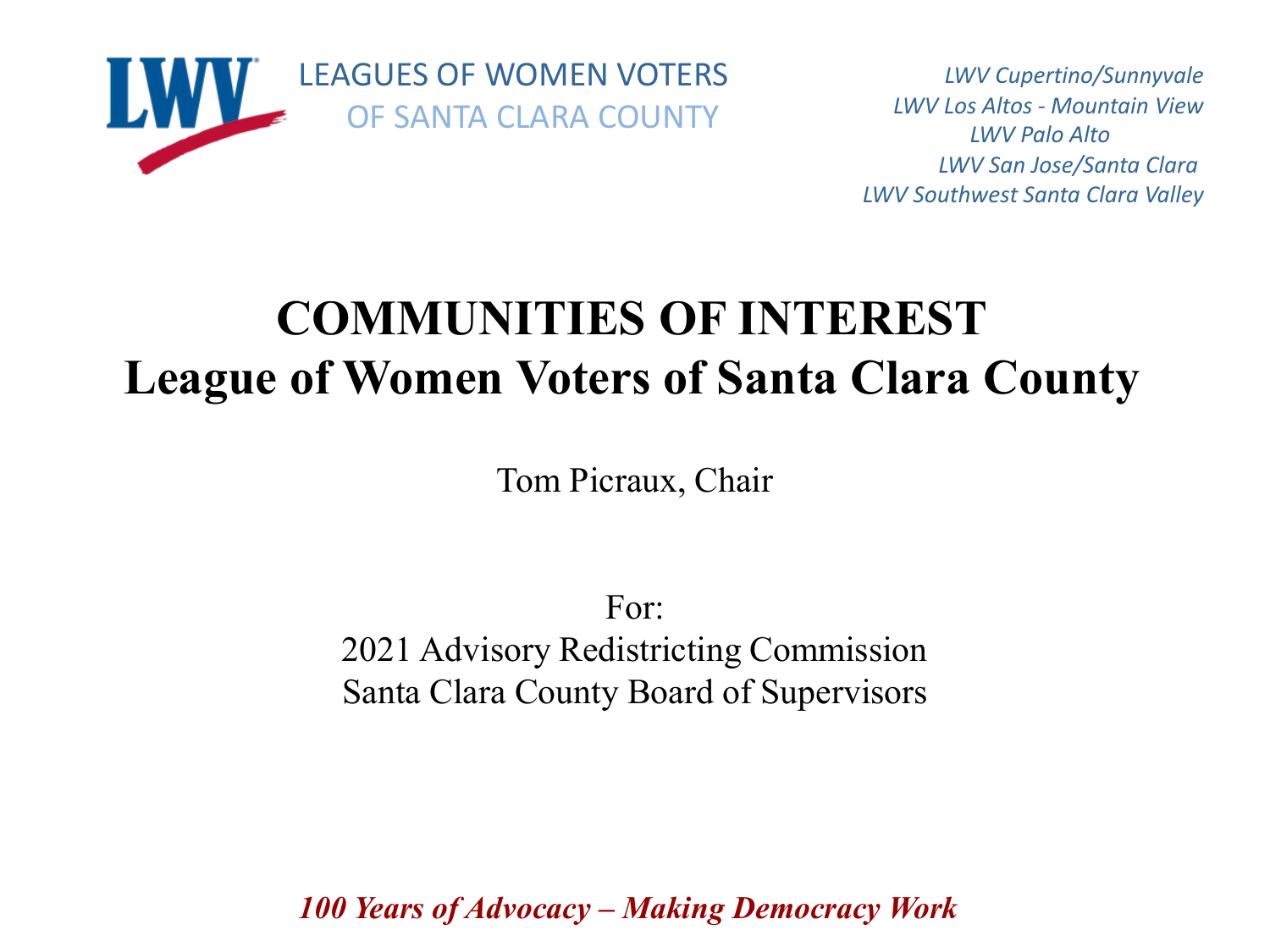

*LWV Cupertino/Sunnyvale LWV Los Altos - Mountain View LWV Palo Alto LWV San Jose/Santa Clara LWV Southwest Santa Clara Valley*

# **COMMUNITIES OF INTEREST League of Women Voters of Santa Clara County**

Tom Picraux, Chair

For: 2021 Advisory Redistricting Commission Santa Clara County Board of Supervisors

*100 Years of Advocacy – Making Democracy Work*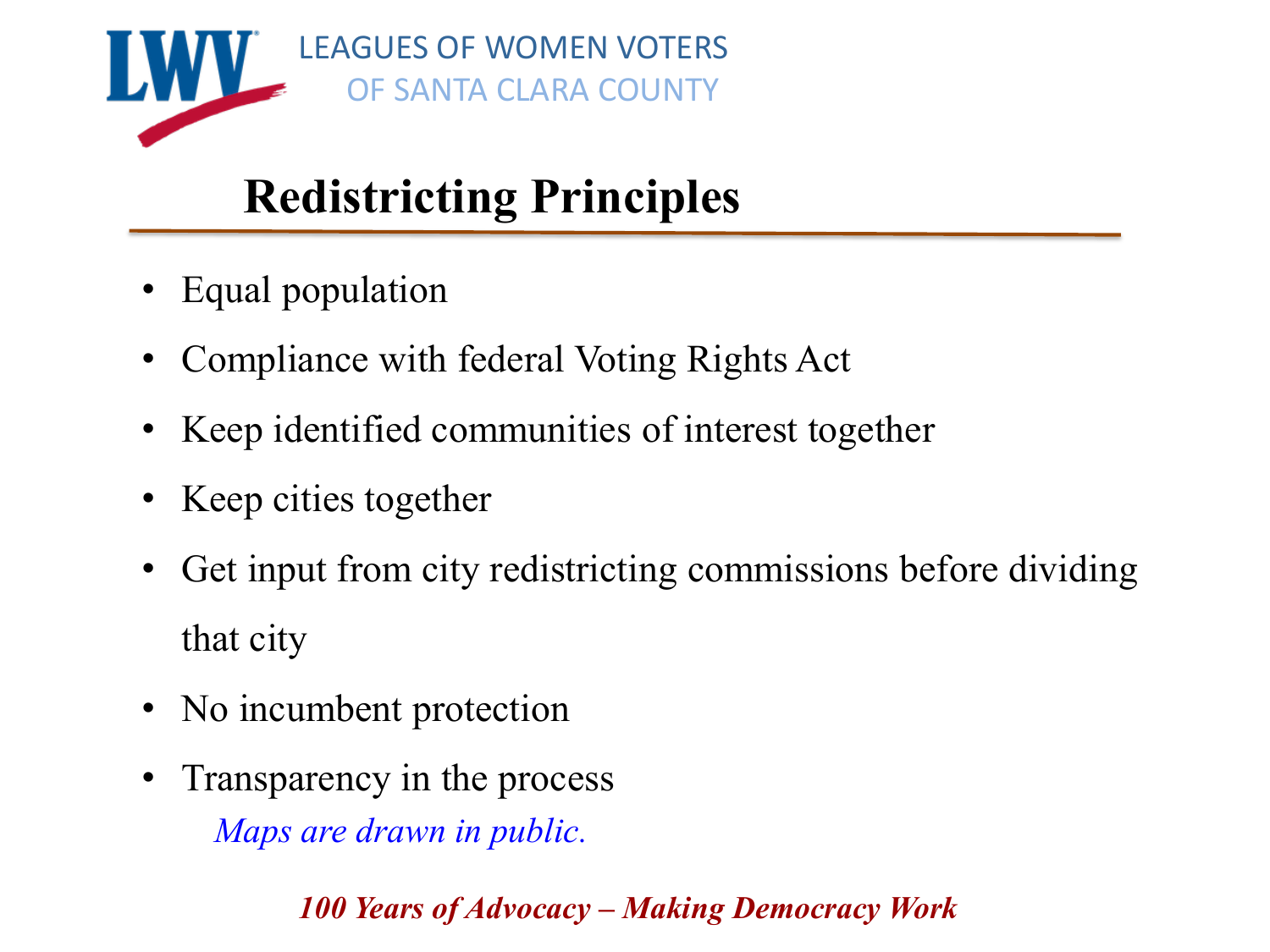

# **Redistricting Principles**

- Equal population
- Compliance with federal Voting Rights Act
- Keep identified communities of interest together
- Keep cities together
- Get input from city redistricting commissions before dividing that city
- No incumbent protection
- Transparency in the process *Maps are drawn in public.*

*100 Years of Advocacy – Making Democracy Work*